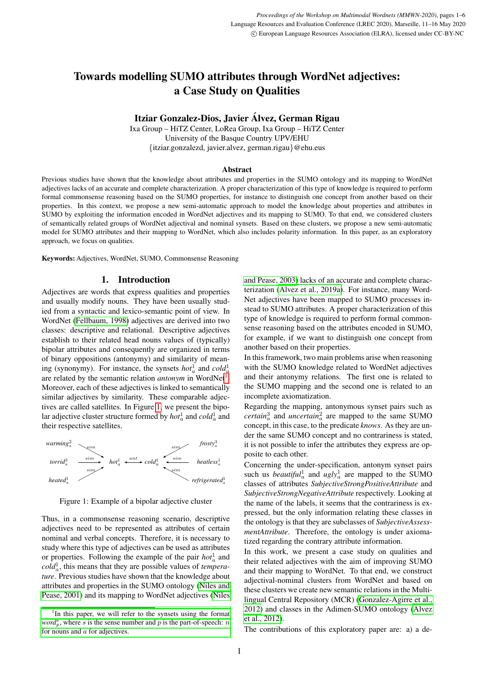# Towards modelling SUMO attributes through WordNet adjectives: a Case Study on Qualities

# Itziar Gonzalez-Dios, Javier Alvez, German Rigau ´

Ixa Group – HiTZ Center, LoRea Group, Ixa Group – HiTZ Center University of the Basque Country UPV/EHU {itziar.gonzalezd, javier.alvez, german.rigau}@ehu.eus

#### Abstract

Previous studies have shown that the knowledge about attributes and properties in the SUMO ontology and its mapping to WordNet adjectives lacks of an accurate and complete characterization. A proper characterization of this type of knowledge is required to perform formal commonsense reasoning based on the SUMO properties, for instance to distinguish one concept from another based on their properties. In this context, we propose a new semi-automatic approach to model the knowledge about properties and attributes in SUMO by exploiting the information encoded in WordNet adjectives and its mapping to SUMO. To that end, we considered clusters of semantically related groups of WordNet adjectival and nominal synsets. Based on these clusters, we propose a new semi-automatic model for SUMO attributes and their mapping to WordNet, which also includes polarity information. In this paper, as an exploratory approach, we focus on qualities.

Keywords: Adjectives, WordNet, SUMO, Commonsense Reasoning

### 1. Introduction

Adjectives are words that express qualities and properties and usually modify nouns. They have been usually studied from a syntactic and lexico-semantic point of view. In WordNet [\(Fellbaum, 1998\)](#page-5-0) adjectives are derived into two classes: descriptive and relational. Descriptive adjectives establish to their related head nouns values of (typically) bipolar attributes and consequently are organized in terms of binary oppositions (antonymy) and similarity of meaning (synonymy). For instance, the synsets  $hot_a^1$  and  $cold_a^1$ are related by the semantic relation *antonym* in WordNet<sup>[1](#page-0-0)</sup>. Moreover, each of these adjectives is linked to semantically similar adjectives by similarity. These comparable adjectives are called satellites. In Figure [1,](#page-0-1) we present the bipolar adjective cluster structure formed by  $hot_a^1$  and  $cold_a^1$  and their respective satellites.



<span id="page-0-1"></span>Figure 1: Example of a bipolar adjective cluster

Thus, in a commonsense reasoning scenario, descriptive adjectives need to be represented as attributes of certain nominal and verbal concepts. Therefore, it is necessary to study where this type of adjectives can be used as attributes or properties. Following the example of the pair  $hot_a^1$  and  $\text{cold}_a^1$ , this means that they are possible values of *temperature*. Previous studies have shown that the knowledge about attributes and properties in the SUMO ontology [\(Niles and](#page-5-1) [Pease, 2001\)](#page-5-1) and its mapping to WordNet adjectives [\(Niles](#page-5-2)

[and Pease, 2003\)](#page-5-2) lacks of an accurate and complete characterization (Álvez et al., 2019a). For instance, many Word-Net adjectives have been mapped to SUMO processes instead to SUMO attributes. A proper characterization of this type of knowledge is required to perform formal commonsense reasoning based on the attributes encoded in SUMO, for example, if we want to distinguish one concept from another based on their properties.

In this framework, two main problems arise when reasoning with the SUMO knowledge related to WordNet adjectives and their antonymy relations. The first one is related to the SUMO mapping and the second one is related to an incomplete axiomatization.

Regarding the mapping, antonymous synset pairs such as  $certain<sub>a</sub><sup>3</sup>$  and *uncertain*<sup>2</sup><sub>*a*</sub> are mapped to the same SUMO concept, in this case, to the predicate *knows*. As they are under the same SUMO concept and no contrariness is stated, it is not possible to infer the attributes they express are opposite to each other.

Concerning the under-specification, antonym synset pairs such us *beautiful*<sup>1</sup><sub>*a*</sub> and *ugly*<sup>1</sup><sub>*a*</sub> are mapped to the SUMO classes of attributes *SubjectiveStrongPositiveAttribute* and *SubjectiveStrongNegativeAttribute* respectively. Looking at the name of the labels, it seems that the contrariness is expressed, but the only information relating these classes in the ontology is that they are subclasses of *SubjectiveAssessmentAttribute*. Therefore, the ontology is under axiomatized regarding the contrary attribute information.

In this work, we present a case study on qualities and their related adjectives with the aim of improving SUMO and their mapping to WordNet. To that end, we construct adjectival-nominal clusters from WordNet and based on these clusters we create new semantic relations in the Multilingual Central Repository (MCR) [\(Gonzalez-Agirre et al.,](#page-5-4)  $2012$ ) and classes in the Adimen-SUMO ontology (Álvez [et al., 2012\)](#page-5-5).

The contributions of this exploratory paper are: a) a de-

<span id="page-0-0"></span><sup>&</sup>lt;sup>1</sup>[In this paper, we will refer to the synsets using the format](#page-5-2)  $word_p^s$ , where *s* [is the sense number and](#page-5-2) *p* is the part-of-speech: *n* for nouns and  $a$  [for adjectives.](#page-5-2)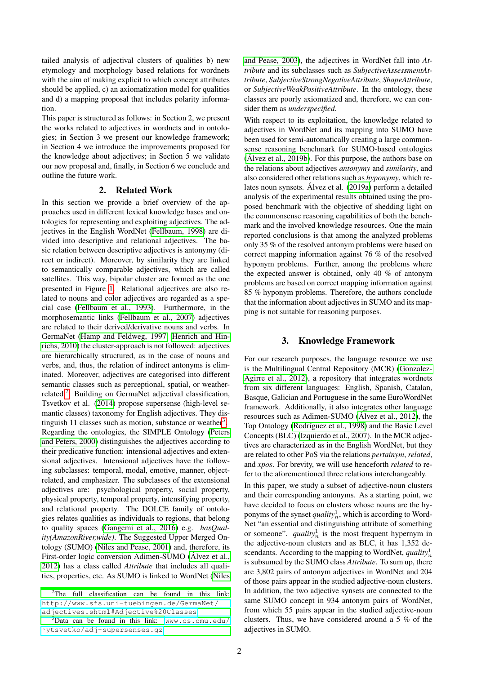tailed analysis of adjectival clusters of qualities b) new etymology and morphology based relations for wordnets with the aim of making explicit to which concept attributes should be applied, c) an axiomatization model for qualities and d) a mapping proposal that includes polarity information.

This paper is structured as follows: in Section 2, we present the works related to adjectives in wordnets and in ontologies; in Section 3 we present our knowledge framework; in Section 4 we introduce the improvements proposed for the knowledge about adjectives; in Section 5 we validate our new proposal and, finally, in Section 6 we conclude and outline the future work.

#### 2. Related Work

In this section we provide a brief overview of the approaches used in different lexical knowledge bases and ontologies for representing and exploiting adjectives. The adjectives in the English WordNet [\(Fellbaum, 1998\)](#page-5-0) are divided into descriptive and relational adjectives. The basic relation between descriptive adjectives is antonymy (direct or indirect). Moreover, by similarity they are linked to semantically comparable adjectives, which are called satellites. This way, bipolar cluster are formed as the one presented in Figure [1.](#page-0-1) Relational adjectives are also related to nouns and color adjectives are regarded as a special case [\(Fellbaum et al., 1993\)](#page-5-6). Furthermore, in the morphosemantic links [\(Fellbaum et al., 2007\)](#page-5-7) adjectives are related to their derived/derivative nouns and verbs. In GermaNet [\(Hamp and Feldweg, 1997;](#page-5-8) [Henrich and Hin](#page-5-9)[richs, 2010\)](#page-5-9) the cluster-approach is not followed: adjectives are hierarchically structured, as in the case of nouns and verbs, and, thus, the relation of indirect antonyms is eliminated. Moreover, adjectives are categorised into different semantic classes such as perceptional, spatial, or weatherrelated.[2](#page-1-0) Building on GermaNet adjectival classification, Tsvetkov et al. [\(2014\)](#page-5-10) propose supersense (high-level semantic classes) taxonomy for English adjectives. They dis-tinguish 11 classes such as motion, substance or weather<sup>[3](#page-1-1)</sup>. Regarding the ontologies, the SIMPLE Ontology [\(Peters](#page-5-11) [and Peters, 2000\)](#page-5-11) distinguishes the adjectives according to their predicative function: intensional adjectives and extensional adjectives. Intensional adjectives have the following subclasses: temporal, modal, emotive, manner, objectrelated, and emphasizer. The subclasses of the extensional adjectives are: psychological property, social property, physical property, temporal property, intensifying property, and relational property. The DOLCE family of ontologies relates qualities as individuals to regions, that belong to quality spaces [\(Gangemi et al., 2016\)](#page-5-12) e.g. *hasQuality(AmazonRiver,wide)*. The Suggested Upper Merged Ontology (SUMO) [\(Niles and Pease, 2001\)](#page-5-1) and, therefore, its First-order logic conversion Adimen-SUMO (Álvez et al., [2012\)](#page-5-5) has a class called *Attribute* that includes all qualities, properties, etc. As SUMO is linked to WordNet [\(Niles](#page-5-2)

[and Pease, 2003\)](#page-5-2), the adjectives in WordNet fall into *Attribute* and its subclasses such as *SubjectiveAssessmentAttribute*, *SubjectiveStrongNegativeAttribute*, *ShapeAttribute*, or *SubjectiveWeakPositiveAttribute*. In the ontology, these classes are poorly axiomatized and, therefore, we can consider them as *underspecified*.

With respect to its exploitation, the knowledge related to adjectives in WordNet and its mapping into SUMO have been used for semi-automatically creating a large commonsense reasoning benchmark for SUMO-based ontologies [\(Alvez et al., 2019b\)](#page-5-13). For this purpose, the authors base on ´ the relations about adjectives *antonymy* and *similarity*, and also considered other relations such as *hyponymy*, which re-lates noun synsets. Álvez et al. [\(2019a\)](#page-5-3) perform a detailed analysis of the experimental results obtained using the proposed benchmark with the objective of shedding light on the commonsense reasoning capabilities of both the benchmark and the involved knowledge resources. One the main reported conclusions is that among the analyzed problems only 35 % of the resolved antonym problems were based on correct mapping information against 76 % of the resolved hyponym problems. Further, among the problems where the expected answer is obtained, only 40 % of antonym problems are based on correct mapping information against 85 % hyponym problems. Therefore, the authors conclude that the information about adjectives in SUMO and its mapping is not suitable for reasoning purposes.

### 3. Knowledge Framework

For our research purposes, the language resource we use is the Multilingual Central Repository (MCR) [\(Gonzalez-](#page-5-4)[Agirre et al., 2012\)](#page-5-4), a repository that integrates wordnets from six different languages: English, Spanish, Catalan, Basque, Galician and Portuguese in the same EuroWordNet framework. Additionally, it also integrates other language resources such as Adimen-SUMO (Álvez et al., 2012), the Top Ontology (Rodríguez et al., 1998) and the Basic Level Concepts (BLC) [\(Izquierdo et al., 2007\)](#page-5-15). In the MCR adjectives are characterized as in the English WordNet, but they are related to other PoS via the relations *pertainym*, *related*, and *xpos*. For brevity, we will use henceforth *related* to refer to the aforementioned three relations interchangeably.

In this paper, we study a subset of adjective-noun clusters and their corresponding antonyms. As a starting point, we have decided to focus on clusters whose nouns are the hyponyms of the synset  $quality<sub>n</sub><sup>1</sup>$ , which is according to Word-Net "an essential and distinguishing attribute of something or someone".  $quality_n^1$  is the most frequent hypernym in the adjective-noun clusters and as BLC, it has 1,352 descendants. According to the mapping to WordNet, *quality* $^1_n$ is subsumed by the SUMO class *Attribute*. To sum up, there are 3,802 pairs of antonym adjectives in WordNet and 204 of those pairs appear in the studied adjective-noun clusters. In addition, the two adjective synsets are connected to the same SUMO concept in 934 antonym pairs of WordNet, from which 55 pairs appear in the studied adjective-noun clusters. Thus, we have considered around a 5 % of the adjectives in SUMO.

<span id="page-1-0"></span> $2$ [The full classification can be found in this link:](#page-5-2) [http://www.sfs.uni-tuebingen.de/GermaNet/](#page-5-2) [adjectives.shtml#Adjective%20Classes](#page-5-2).

<span id="page-1-1"></span><sup>3</sup>[Data can be found in this link:](#page-5-2) [www.cs.cmu.edu/](www.cs.cmu.edu/~ytsvetko/adj-supersenses.gz) [˜ytsvetko/adj-supersenses.gz](#page-5-2)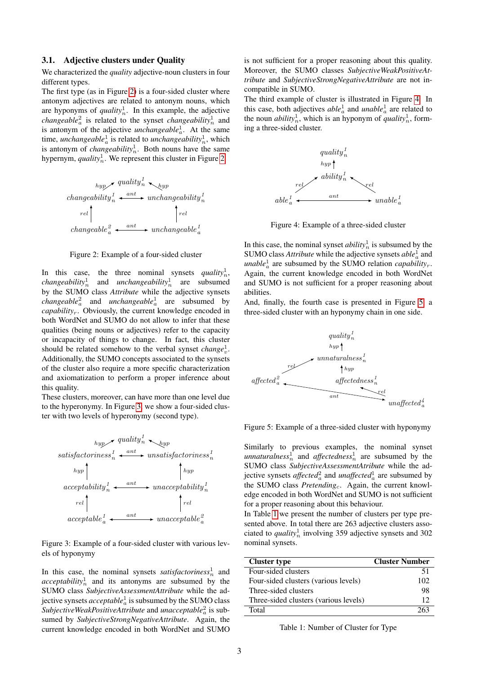#### 3.1. Adjective clusters under Quality

We characterized the *quality* adjective-noun clusters in four different types.

The first type (as in Figure [2\)](#page-2-0) is a four-sided cluster where antonym adjectives are related to antonym nouns, which are hyponyms of  $quality_n^1$ . In this example, the adjective *changeable*<sup>2</sup> is related to the synset *changeability*<sup>1</sup> and is antonym of the adjective *unchangeable*<sup>1</sup><sub>*a*</sub>. At the same time, *unchangeable*<sup>1</sup><sub>*a*</sub> is related to *unchangeability*<sup>1</sup><sub>*n*</sub>, which is antonym of *changeability*<sup>1</sup> $<sub>n</sub>$ . Both nouns have the same</sub> hypernym,  $quality_n^1$ . We represent this cluster in Figure [2.](#page-2-0)



<span id="page-2-0"></span>Figure 2: Example of a four-sided cluster

In this case, the three nominal synsets *quality*<sup>1</sup><sub>n</sub>, *changeability*<sup>1</sup><sub>n</sub> and *unchangeability*<sup>1</sup><sub>n</sub> are subsumed by the SUMO class *Attribute* while the adjective synsets *changeable*<sup>2</sup> and *unchangeable*<sup>1</sup> are subsumed by *capability*r. Obviously, the current knowledge encoded in both WordNet and SUMO do not allow to infer that these qualities (being nouns or adjectives) refer to the capacity or incapacity of things to change. In fact, this cluster should be related somehow to the verbal synset *change*<sup>1</sup><sub>v</sub>. Additionally, the SUMO concepts associated to the synsets of the cluster also require a more specific characterization and axiomatization to perform a proper inference about this quality.

These clusters, moreover, can have more than one level due to the hyperonymy. In Figure [3,](#page-2-1) we show a four-sided cluster with two levels of hyperonymy (second type).



<span id="page-2-1"></span>Figure 3: Example of a four-sided cluster with various levels of hyponymy

In this case, the nominal synsets *satisfactoriness*<sup>1</sup><sub>n</sub> and  $acceptability<sub>n</sub><sup>1</sup>$  and its antonyms are subsumed by the SUMO class *SubjectiveAssessmentAttribute* while the adjective synsets  $acceptable^1_a$  is subsumed by the SUMO class  $Subjective WeakPositiveAttribute$  and *unacceptable* $^2_a$  is subsumed by *SubjectiveStrongNegativeAttribute*. Again, the current knowledge encoded in both WordNet and SUMO

is not sufficient for a proper reasoning about this quality. Moreover, the SUMO classes *SubjectiveWeakPositiveAttribute* and *SubjectiveStrongNegativeAttribute* are not incompatible in SUMO.

The third example of cluster is illustrated in Figure [4.](#page-2-2) In this case, both adjectives  $able_a^1$  and  $\text{unable}_a^1$  are related to the noun *ability*<sup>1</sup><sub>n</sub>, which is an hyponym of *quality*<sup>1</sup><sub>n</sub>, forming a three-sided cluster.



<span id="page-2-2"></span>Figure 4: Example of a three-sided cluster

In this case, the nominal synset  $ability<sub>n</sub><sup>1</sup>$  is subsumed by the SUMO class *Attribute* while the adjective synsets  $able<sup>1</sup><sub>a</sub>$  and *unable*<sup>1</sup><sub>*a*</sub> are subsumed by the SUMO relation *capability<sub>r</sub>*. Again, the current knowledge encoded in both WordNet and SUMO is not sufficient for a proper reasoning about abilities.

And, finally, the fourth case is presented in Figure [5,](#page-2-3) a three-sided cluster with an hyponymy chain in one side.



<span id="page-2-3"></span>Figure 5: Example of a three-sided cluster with hyponymy

Similarly to previous examples, the nominal synset  $unnaturalness_n^1$  and  $affectedness_n^1$  are subsumed by the SUMO class *SubjectiveAssessmentAtribute* while the adjective synsets *affected*<sup>2</sup><sub>*a*</sub> and *unaffected*<sup>1</sup><sub>*a*</sub> are subsumed by the SUMO class *Pretending<sub>c</sub>*. Again, the current knowledge encoded in both WordNet and SUMO is not sufficient for a proper reasoning about this behaviour.

In Table [1](#page-2-4) we present the number of clusters per type presented above. In total there are 263 adjective clusters associated to *quality*<sup>1</sup><sub>n</sub> involving 359 adjective synsets and 302 nominal synsets.

| <b>Cluster type</b>                   | <b>Cluster Number</b> |
|---------------------------------------|-----------------------|
| Four-sided clusters                   | -51                   |
| Four-sided clusters (various levels)  | 102                   |
| Three-sided clusters                  | 98                    |
| Three-sided clusters (various levels) | 12                    |
| Total                                 |                       |

<span id="page-2-4"></span>Table 1: Number of Cluster for Type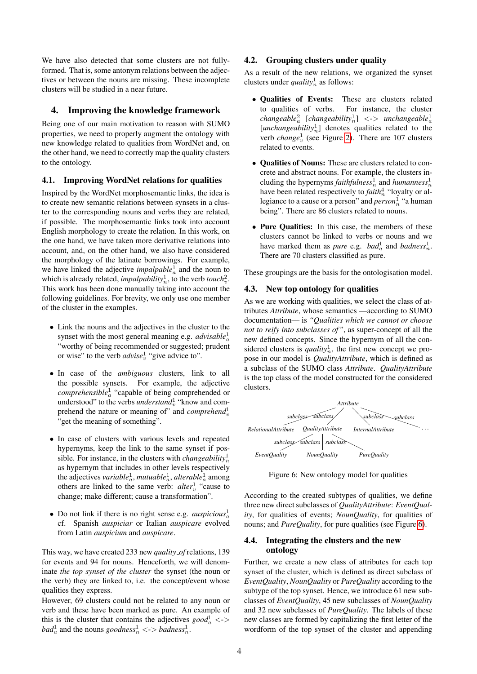We have also detected that some clusters are not fullyformed. That is, some antonym relations between the adjectives or between the nouns are missing. These incomplete clusters will be studied in a near future.

#### 4. Improving the knowledge framework

Being one of our main motivation to reason with SUMO properties, we need to properly augment the ontology with new knowledge related to qualities from WordNet and, on the other hand, we need to correctly map the quality clusters to the ontology.

#### 4.1. Improving WordNet relations for qualities

Inspired by the WordNet morphosemantic links, the idea is to create new semantic relations between synsets in a cluster to the corresponding nouns and verbs they are related, if possible. The morphosemantic links took into account English morphology to create the relation. In this work, on the one hand, we have taken more derivative relations into account, and, on the other hand, we also have considered the morphology of the latinate borrowings. For example, we have linked the adjective *impalpable*<sup>1</sup><sub>*a*</sub> and the noun to which is already related, *impalpability*<sup>1</sup><sub>*n*</sub>, to the verb *touch*<sup>2</sup><sub>*v*</sub>. This work has been done manually taking into account the following guidelines. For brevity, we only use one member of the cluster in the examples.

- Link the nouns and the adjectives in the cluster to the synset with the most general meaning e.g. *advisable*<sup>1</sup><sup>*a*</sup> "worthy of being recommended or suggested; prudent or wise" to the verb  $advise_v^1$  "give advice to".
- In case of the *ambiguous* clusters, link to all the possible synsets. For example, the adjective *comprehensible*<sup>1</sup> a "capable of being comprehended or understood" to the verbs *understand* $^1_v$  "know and comprehend the nature or meaning of" and *comprehend*<sup>1</sup> "get the meaning of something".
- In case of clusters with various levels and repeated hypernyms, keep the link to the same synset if possible. For instance, in the clusters with *changeability* $^1_n$ as hypernym that includes in other levels respectively the adjectives  $variable_a^1$ ,  $mutualble_a^1$ ,  $alterable_a^1$  among others are linked to the same verb:  $alter_v^1$  "cause to change; make different; cause a transformation".
- Do not link if there is no right sense e.g. *auspicious* $\frac{1}{a}$ cf. Spanish *auspiciar* or Italian *auspicare* evolved from Latin *auspicium* and *auspicare*.

This way, we have created 233 new *quality of* relations, 139 for events and 94 for nouns. Henceforth, we will denominate *the top synset of the cluster* the synset (the noun or the verb) they are linked to, i.e. the concept/event whose qualities they express.

However, 69 clusters could not be related to any noun or verb and these have been marked as pure. An example of this is the cluster that contains the adjectives  $\text{good}_a^1$  <->  $bad^1_a$  and the nouns  $goodness^1_n \lt\gt\text{badness}^1_n$ .

#### 4.2. Grouping clusters under quality

As a result of the new relations, we organized the synset clusters under *quality*<sup>1</sup> as follows:

- Qualities of Events: These are clusters related to qualities of verbs. For instance, the cluster  $\langle changeable_a^2 \quad [changeability_n^1] \quad \langle \text{-}\rangle \quad unchangedble_a^1$  $[unchangeability<sub>n</sub><sup>1</sup>]$  denotes qualities related to the verb *change*<sup>1</sup><sub>*v*</sub> (see Figure [2\)](#page-2-0). There are 107 clusters related to events.
- Qualities of Nouns: These are clusters related to concrete and abstract nouns. For example, the clusters including the hypernyms *faithfulness*<sup>1</sup><sup>*n*</sup> and *humanness*<sup>1</sup><sup>*n*</sup> have been related respectively to *faith*<sup>4</sup><sub>n</sub> "loyalty or allegiance to a cause or a person" and *person*<sup>1</sup> "a human being". There are 86 clusters related to nouns.
- Pure Qualities: In this case, the members of these clusters cannot be linked to verbs or nouns and we have marked them as *pure* e.g. *bad*<sup>1</sup><sup>*a*</sup> and *badness*<sup>1</sup><sup>*n*</sup>. There are 70 clusters classified as pure.

These groupings are the basis for the ontologisation model.

#### 4.3. New top ontology for qualities

As we are working with qualities, we select the class of attributes *Attribute*, whose semantics —according to SUMO documentation— is *"Qualities which we cannot or choose not to reify into subclasses of"*, as super-concept of all the new defined concepts. Since the hypernym of all the considered clusters is *quality*<sup>1</sup> $_n$ , the first new concept we propose in our model is *QualityAttribute*, which is defined as a subclass of the SUMO class *Attribute*. *QualityAttribute* is the top class of the model constructed for the considered clusters.



<span id="page-3-0"></span>Figure 6: New ontology model for qualities

According to the created subtypes of qualities, we define three new direct subclasses of *QualityAttribute*: *EventQuality*, for qualities of events; *NounQuality*, for qualities of nouns; and *PureQuality*, for pure qualities (see Figure [6\)](#page-3-0).

#### 4.4. Integrating the clusters and the new ontology

Further, we create a new class of attributes for each top synset of the cluster, which is defined as direct subclass of *EventQuality*, *NounQuality* or *PureQuality* according to the subtype of the top synset. Hence, we introduce 61 new subclasses of *EventQuality*, 45 new subclasses of *NounQuality* and 32 new subclasses of *PureQuality*. The labels of these new classes are formed by capitalizing the first letter of the wordform of the top synset of the cluster and appending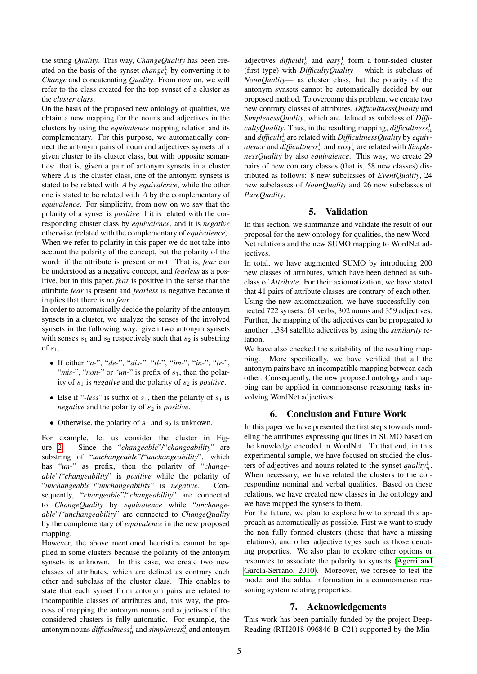the string *Quality*. This way, *ChangeQuality* has been created on the basis of the synset *change*<sup>1</sup><sub>*v*</sub> by converting it to *Change* and concatenating *Quality*. From now on, we will refer to the class created for the top synset of a cluster as the *cluster class*.

On the basis of the proposed new ontology of qualities, we obtain a new mapping for the nouns and adjectives in the clusters by using the *equivalence* mapping relation and its complementary. For this purpose, we automatically connect the antonym pairs of noun and adjectives synsets of a given cluster to its cluster class, but with opposite semantics: that is, given a pair of antonym synsets in a cluster where A is the cluster class, one of the antonym synsets is stated to be related with A by *equivalence*, while the other one is stated to be related with A by the complementary of *equivalence*. For simplicity, from now on we say that the polarity of a synset is *positive* if it is related with the corresponding cluster class by *equivalence*, and it is *negative* otherwise (related with the complementary of *equivalence*). When we refer to polarity in this paper we do not take into account the polarity of the concept, but the polarity of the word: if the attribute is present or not. That is, *fear* can be understood as a negative concept, and *fearless* as a positive, but in this paper, *fear* is positive in the sense that the attribute *fear* is present and *fearless* is negative because it implies that there is no *fear*.

In order to automatically decide the polarity of the antonym synsets in a cluster, we analyze the senses of the involved synsets in the following way: given two antonym synsets with senses  $s_1$  and  $s_2$  respectively such that  $s_2$  is substring of  $s_1$ ,

- If either "*a-*", "*de-*", "*dis-*", "*il-*", "*im-*", "*in-*", "*ir-*", "*mis-*", "*non-*" or "*un-*" is prefix of  $s_1$ , then the polarity of  $s_1$  is *negative* and the polarity of  $s_2$  is *positive*.
- Else if "*-less*" is suffix of  $s_1$ , then the polarity of  $s_1$  is *negative* and the polarity of  $s_2$  is *positive*.
- Otherwise, the polarity of  $s_1$  and  $s_2$  is unknown.

For example, let us consider the cluster in Figure [2.](#page-2-0) Since the "*changeable*"/"*changeability*" are substring of "*unchangeable*"/"*unchangeability*", which has "*un-*" as prefix, then the polarity of "*changeable*"/"*changeability*" is *positive* while the polarity of "*unchangeable*"/"*unchangeability*" is *negative*. Consequently, "*changeable*"/"*changeability*" are connected to *ChangeQuality* by *equivalence* while "*unchangeable*"/"*unchangeability*" are connected to *ChangeQuality* by the complementary of *equivalence* in the new proposed mapping.

However, the above mentioned heuristics cannot be applied in some clusters because the polarity of the antonym synsets is unknown. In this case, we create two new classes of attributes, which are defined as contrary each other and subclass of the cluster class. This enables to state that each synset from antonym pairs are related to incompatible classes of attributes and, this way, the process of mapping the antonym nouns and adjectives of the considered clusters is fully automatic. For example, the antonym nouns  $\emph{difficultness}^1_n$  and  $\emph{simpleness}^3_n$  and antonym

adjectives  $\text{differential}_a^1$  and  $\text{easy}_a^1$  form a four-sided cluster (first type) with *DifficultyQuality* —which is subclass of *NounQuality*— as cluster class, but the polarity of the antonym synsets cannot be automatically decided by our proposed method. To overcome this problem, we create two new contrary classes of attributes, *DifficultnessQuality* and *SimplenessQuality*, which are defined as subclass of *DifficultyQuality*. Thus, in the resulting mapping, *difficultness*<sup>1</sup><sup>*n*</sup> and *difficult*<sup>1</sup><sup>*a*</sup> are related with *DifficultnessQuality* by *equiv-* $\emph{alence}$  and  $\emph{difficultness}^1_n$  and  $\emph{easy}^1_a$  are related with *SimplenessQuality* by also *equivalence*. This way, we create 29 pairs of new contrary classes (that is, 58 new classes) distributed as follows: 8 new subclasses of *EventQuality*, 24 new subclasses of *NounQuality* and 26 new subclasses of *PureQuality*.

## 5. Validation

In this section, we summarize and validate the result of our proposal for the new ontology for qualities, the new Word-Net relations and the new SUMO mapping to WordNet adjectives.

In total, we have augmented SUMO by introducing 200 new classes of attributes, which have been defined as subclass of *Attribute*. For their axiomatization, we have stated that 41 pairs of attribute classes are contrary of each other. Using the new axiomatization, we have successfully connected 722 synsets: 61 verbs, 302 nouns and 359 adjectives. Further, the mapping of the adjectives can be propagated to another 1,384 satellite adjectives by using the *similarity* relation.

We have also checked the suitability of the resulting mapping. More specifically, we have verified that all the antonym pairs have an incompatible mapping between each other. Consequently, the new proposed ontology and mapping can be applied in commonsense reasoning tasks involving WordNet adjectives.

# 6. Conclusion and Future Work

In this paper we have presented the first steps towards modeling the attributes expressing qualities in SUMO based on the knowledge encoded in WordNet. To that end, in this experimental sample, we have focused on studied the clusters of adjectives and nouns related to the synset  $quality_n^1$ . When necessary, we have related the clusters to the corresponding nominal and verbal qualities. Based on these relations, we have created new classes in the ontology and we have mapped the synsets to them.

For the future, we plan to explore how to spread this approach as automatically as possible. First we want to study the non fully formed clusters (those that have a missing relations), and other adjective types such as those denoting properties. We also plan to explore other options or resources to associate the polarity to synsets [\(Agerri and](#page-5-16) García-Serrano, 2010). Moreover, we foresee to test the model and the added information in a commonsense reasoning system relating properties.

# 7. Acknowledgements

This work has been partially funded by the project Deep-Reading (RTI2018-096846-B-C21) supported by the Min